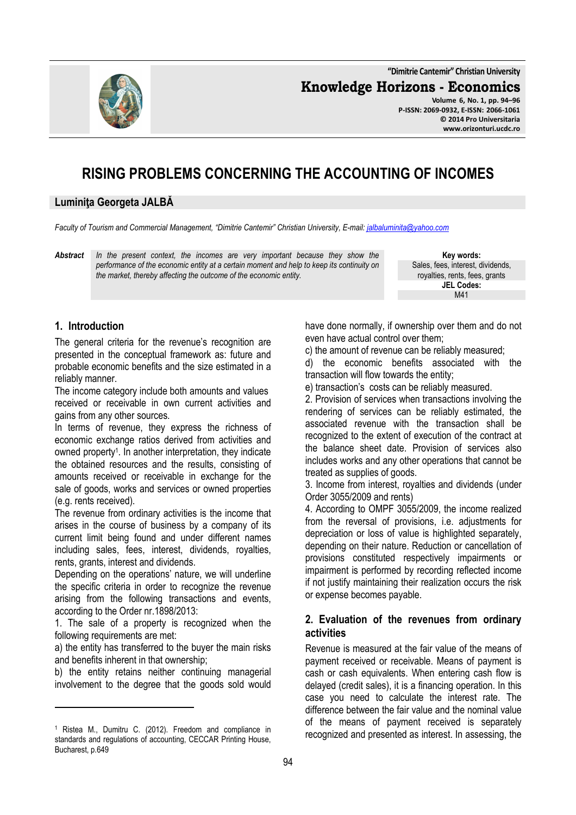**"Dimitrie Cantemir" Christian University**

**Knowledge Horizons - Economics**



**Volume 6, No. 1, pp. 94–96 P-ISSN: 2069-0932, E-ISSN: 2066-1061 © 2014 Pro Universitaria www.orizonturi.ucdc.ro**

# **RISING PROBLEMS CONCERNING THE ACCOUNTING OF INCOMES**

#### **Luminiţa Georgeta JALBĂ**

*Faculty of Tourism and Commercial Management, "Dimitrie Cantemir" Christian University, E-mail: jalbaluminita@yahoo.com*

*Abstract In the present context, the incomes are very important because they show the performance of the economic entity at a certain moment and help to keep its continuity on the market, thereby affecting the outcome of the economic entity.* 

**Key words:** Sales, fees, interest, dividends, royalties, rents, fees, grants **JEL Codes:** M41

## **1. Introduction**

 $\overline{a}$ 

The general criteria for the revenue's recognition are presented in the conceptual framework as: future and probable economic benefits and the size estimated in a reliably manner.

The income category include both amounts and values received or receivable in own current activities and gains from any other sources.

In terms of revenue, they express the richness of economic exchange ratios derived from activities and owned property<sup>1</sup> . In another interpretation, they indicate the obtained resources and the results, consisting of amounts received or receivable in exchange for the sale of goods, works and services or owned properties (e.g. rents received).

The revenue from ordinary activities is the income that arises in the course of business by a company of its current limit being found and under different names including sales, fees, interest, dividends, royalties, rents, grants, interest and dividends.

Depending on the operations' nature, we will underline the specific criteria in order to recognize the revenue arising from the following transactions and events, according to the Order nr.1898/2013:

1. The sale of a property is recognized when the following requirements are met:

a) the entity has transferred to the buyer the main risks and benefits inherent in that ownership;

b) the entity retains neither continuing managerial involvement to the degree that the goods sold would

have done normally, if ownership over them and do not even have actual control over them;

c) the amount of revenue can be reliably measured;

d) the economic benefits associated with the transaction will flow towards the entity;

e) transaction's costs can be reliably measured.

2. Provision of services when transactions involving the rendering of services can be reliably estimated, the associated revenue with the transaction shall be recognized to the extent of execution of the contract at the balance sheet date. Provision of services also includes works and any other operations that cannot be treated as supplies of goods.

3. Income from interest, royalties and dividends (under Order 3055/2009 and rents)

4. According to OMPF 3055/2009, the income realized from the reversal of provisions, i.e. adjustments for depreciation or loss of value is highlighted separately, depending on their nature. Reduction or cancellation of provisions constituted respectively impairments or impairment is performed by recording reflected income if not justify maintaining their realization occurs the risk or expense becomes payable.

## **2. Evaluation of the revenues from ordinary activities**

Revenue is measured at the fair value of the means of payment received or receivable. Means of payment is cash or cash equivalents. When entering cash flow is delayed (credit sales), it is a financing operation. In this case you need to calculate the interest rate. The difference between the fair value and the nominal value of the means of payment received is separately recognized and presented as interest. In assessing, the

<sup>1</sup> Ristea M., Dumitru C. (2012). Freedom and compliance in standards and regulations of accounting, CECCAR Printing House, Bucharest, p.649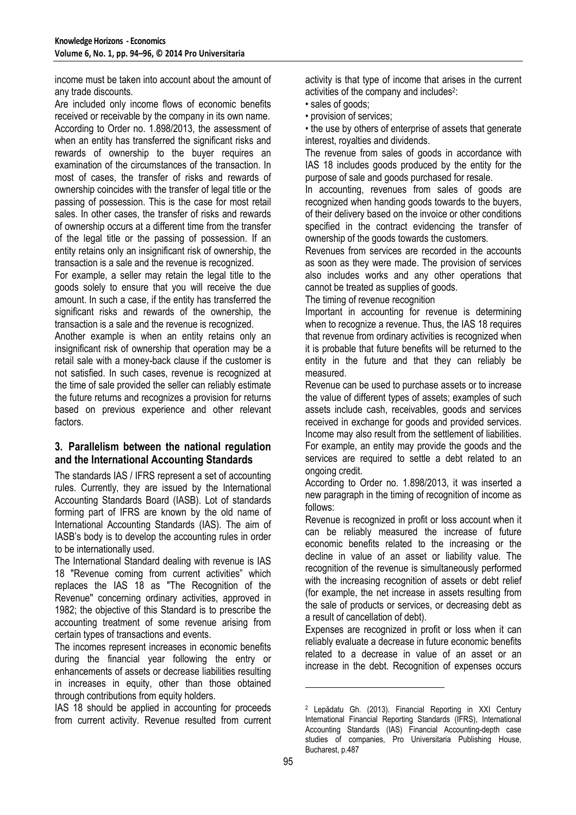income must be taken into account about the amount of any trade discounts.

Are included only income flows of economic benefits received or receivable by the company in its own name. According to Order no. 1.898/2013, the assessment of when an entity has transferred the significant risks and rewards of ownership to the buyer requires an examination of the circumstances of the transaction. In most of cases, the transfer of risks and rewards of ownership coincides with the transfer of legal title or the passing of possession. This is the case for most retail sales. In other cases, the transfer of risks and rewards of ownership occurs at a different time from the transfer of the legal title or the passing of possession. If an entity retains only an insignificant risk of ownership, the transaction is a sale and the revenue is recognized.

For example, a seller may retain the legal title to the goods solely to ensure that you will receive the due amount. In such a case, if the entity has transferred the significant risks and rewards of the ownership, the transaction is a sale and the revenue is recognized.

Another example is when an entity retains only an insignificant risk of ownership that operation may be a retail sale with a money-back clause if the customer is not satisfied. In such cases, revenue is recognized at the time of sale provided the seller can reliably estimate the future returns and recognizes a provision for returns based on previous experience and other relevant factors.

#### **3. Parallelism between the national regulation and the International Accounting Standards**

The standards IAS / IFRS represent a set of accounting rules. Currently, they are issued by the International Accounting Standards Board (IASB). Lot of standards forming part of IFRS are known by the old name of International Accounting Standards (IAS). The aim of IASB's body is to develop the accounting rules in order to be internationally used.

The International Standard dealing with revenue is IAS 18 "Revenue coming from current activities" which replaces the IAS 18 as "The Recognition of the Revenue'' concerning ordinary activities, approved in 1982; the objective of this Standard is to prescribe the accounting treatment of some revenue arising from certain types of transactions and events.

The incomes represent increases in economic benefits during the financial year following the entry or enhancements of assets or decrease liabilities resulting in increases in equity, other than those obtained through contributions from equity holders.

IAS 18 should be applied in accounting for proceeds from current activity. Revenue resulted from current activity is that type of income that arises in the current activities of the company and includes<sup>2</sup>:

- sales of goods;
- provision of services;

• the use by others of enterprise of assets that generate interest, royalties and dividends.

The revenue from sales of goods in accordance with IAS 18 includes goods produced by the entity for the purpose of sale and goods purchased for resale.

In accounting, revenues from sales of goods are recognized when handing goods towards to the buyers, of their delivery based on the invoice or other conditions specified in the contract evidencing the transfer of ownership of the goods towards the customers.

Revenues from services are recorded in the accounts as soon as they were made. The provision of services also includes works and any other operations that cannot be treated as supplies of goods.

The timing of revenue recognition

Important in accounting for revenue is determining when to recognize a revenue. Thus, the IAS 18 requires that revenue from ordinary activities is recognized when it is probable that future benefits will be returned to the entity in the future and that they can reliably be measured.

Revenue can be used to purchase assets or to increase the value of different types of assets; examples of such assets include cash, receivables, goods and services received in exchange for goods and provided services. Income may also result from the settlement of liabilities. For example, an entity may provide the goods and the services are required to settle a debt related to an ongoing credit.

According to Order no. 1.898/2013, it was inserted a new paragraph in the timing of recognition of income as follows:

Revenue is recognized in profit or loss account when it can be reliably measured the increase of future economic benefits related to the increasing or the decline in value of an asset or liability value. The recognition of the revenue is simultaneously performed with the increasing recognition of assets or debt relief (for example, the net increase in assets resulting from the sale of products or services, or decreasing debt as a result of cancellation of debt).

Expenses are recognized in profit or loss when it can reliably evaluate a decrease in future economic benefits related to a decrease in value of an asset or an increase in the debt. Recognition of expenses occurs

 $\overline{a}$ 

<sup>2</sup> Lepădatu Gh. (2013). Financial Reporting in XXI Century International Financial Reporting Standards (IFRS), International Accounting Standards (IAS) Financial Accounting-depth case studies of companies, Pro Universitaria Publishing House, Bucharest, p.487